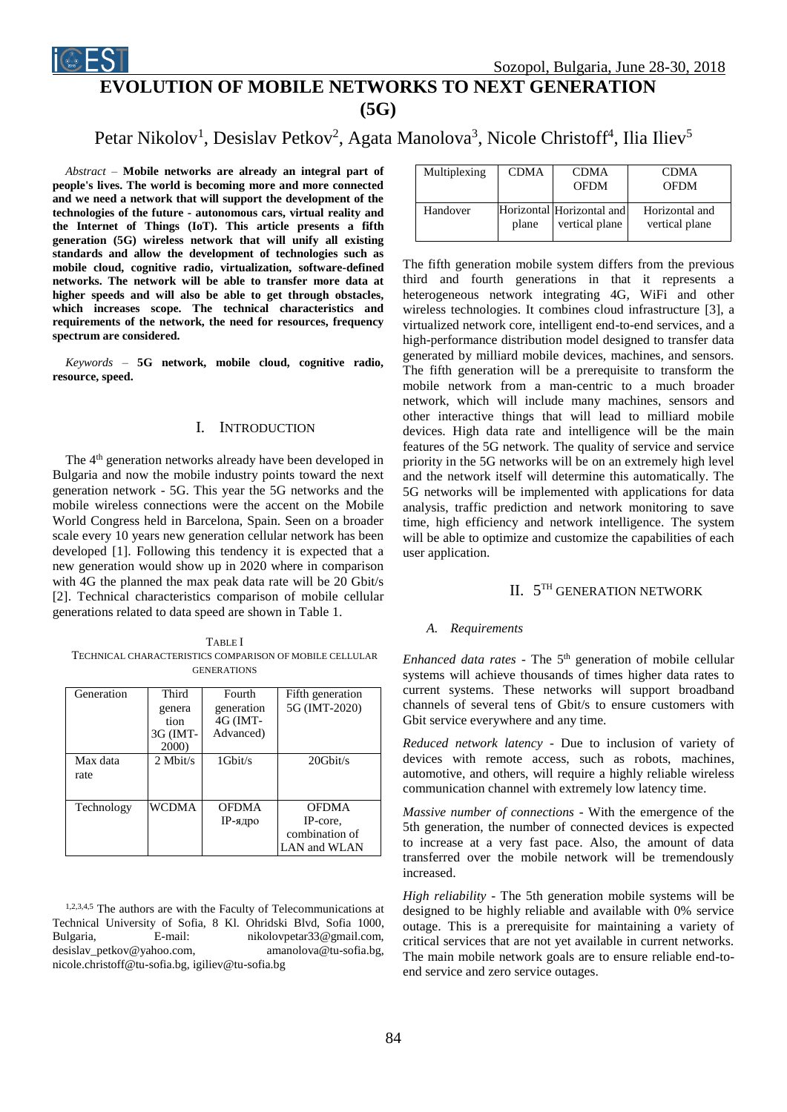

# Petar Nikolov<sup>1</sup>, Desislav Petkov<sup>2</sup>, Agata Manolova<sup>3</sup>, Nicole Christoff<sup>4</sup>, Ilia Iliev<sup>5</sup>

*Abstract –* **Mobile networks are already an integral part of people's lives. The world is becoming more and more connected and we need a network that will support the development of the technologies of the future - autonomous cars, virtual reality and the Internet of Things (IoT). This article presents a fifth generation (5G) wireless network that will unify all existing standards and allow the development of technologies such as mobile cloud, cognitive radio, virtualization, software-defined networks. The network will be able to transfer more data at higher speeds and will also be able to get through obstacles, which increases scope. The technical characteristics and requirements of the network, the need for resources, frequency spectrum are considered.**

*Keywords –* **5G network, mobile cloud, cognitive radio, resource, speed.**

# I. INTRODUCTION

The 4<sup>th</sup> generation networks already have been developed in Bulgaria and now the mobile industry points toward the next generation network - 5G. This year the 5G networks and the mobile wireless connections were the accent on the Mobile World Congress held in Barcelona, Spain. Seen on a broader scale every 10 years new generation cellular network has been developed [1]. Following this tendency it is expected that a new generation would show up in 2020 where in comparison with 4G the planned the max peak data rate will be 20 Gbit/s [2]. Technical characteristics comparison of mobile cellular generations related to data speed are shown in Table 1.

TABLE I TECHNICAL CHARACTERISTICS COMPARISON OF MOBILE CELLULAR GENERATIONS

| Generation | Third        | Fourth         | Fifth generation |
|------------|--------------|----------------|------------------|
|            | genera       | generation     | 5G (IMT-2020)    |
|            | tion         | $4G$ (IMT-     |                  |
|            | 3G (IMT-     | Advanced)      |                  |
|            | 2000)        |                |                  |
| Max data   | $2$ Mbit/s   | $1$ Gbit/s     | $20$ Ghit/s      |
| rate       |              |                |                  |
|            |              |                |                  |
|            |              |                |                  |
| Technology | <b>WCDMA</b> | <b>OFDMA</b>   | <b>OFDMA</b>     |
|            |              | <b>IP-ядро</b> | IP-core,         |
|            |              |                | combination of   |
|            |              |                | LAN and WLAN     |

1,2,3,4,5 The authors are with the Faculty of Telecommunications at Technical University of Sofia, 8 Kl. Ohridski Blvd, Sofia 1000, Bulgaria, E-mail: nikolovpetar33@gmail.com, desislav\_petkov@yahoo.com, amanolova@tu-sofia.bg, nicole.christoff@tu-sofia.bg, igiliev@tu-sofia.bg

| Multiplexing | <b>CDMA</b> | <b>CDMA</b><br><b>OFDM</b>                  | <b>CDMA</b><br><b>OFDM</b>       |
|--------------|-------------|---------------------------------------------|----------------------------------|
| Handover     | plane       | Horizontal Horizontal and<br>vertical plane | Horizontal and<br>vertical plane |

The fifth generation mobile system differs from the previous third and fourth generations in that it represents a heterogeneous network integrating 4G, WiFi and other wireless technologies. It combines cloud infrastructure [3], a virtualized network core, intelligent end-to-end services, and a high-performance distribution model designed to transfer data generated by milliard mobile devices, machines, and sensors. The fifth generation will be a prerequisite to transform the mobile network from a man-centric to a much broader network, which will include many machines, sensors and other interactive things that will lead to milliard mobile devices. High data rate and intelligence will be the main features of the 5G network. The quality of service and service priority in the 5G networks will be on an extremely high level and the network itself will determine this automatically. The 5G networks will be implemented with applications for data analysis, traffic prediction and network monitoring to save time, high efficiency and network intelligence. The system will be able to optimize and customize the capabilities of each user application.

# II. 5<sup>TH</sup> GENERATION NETWORK

#### *A. Requirements*

*Enhanced data rates -* The 5<sup>th</sup> generation of mobile cellular systems will achieve thousands of times higher data rates to current systems. These networks will support broadband channels of several tens of Gbit/s to ensure customers with Gbit service everywhere and any time.

*Reduced network latency* - Due to inclusion of variety of devices with remote access, such as robots, machines, automotive, and others, will require a highly reliable wireless communication channel with extremely low latency time.

*Massive number of connections -* With the emergence of the 5th generation, the number of connected devices is expected to increase at a very fast pace. Also, the amount of data transferred over the mobile network will be tremendously increased.

*High reliability -* The 5th generation mobile systems will be designed to be highly reliable and available with 0% service outage. This is a prerequisite for maintaining a variety of critical services that are not yet available in current networks. The main mobile network goals are to ensure reliable end-toend service and zero service outages.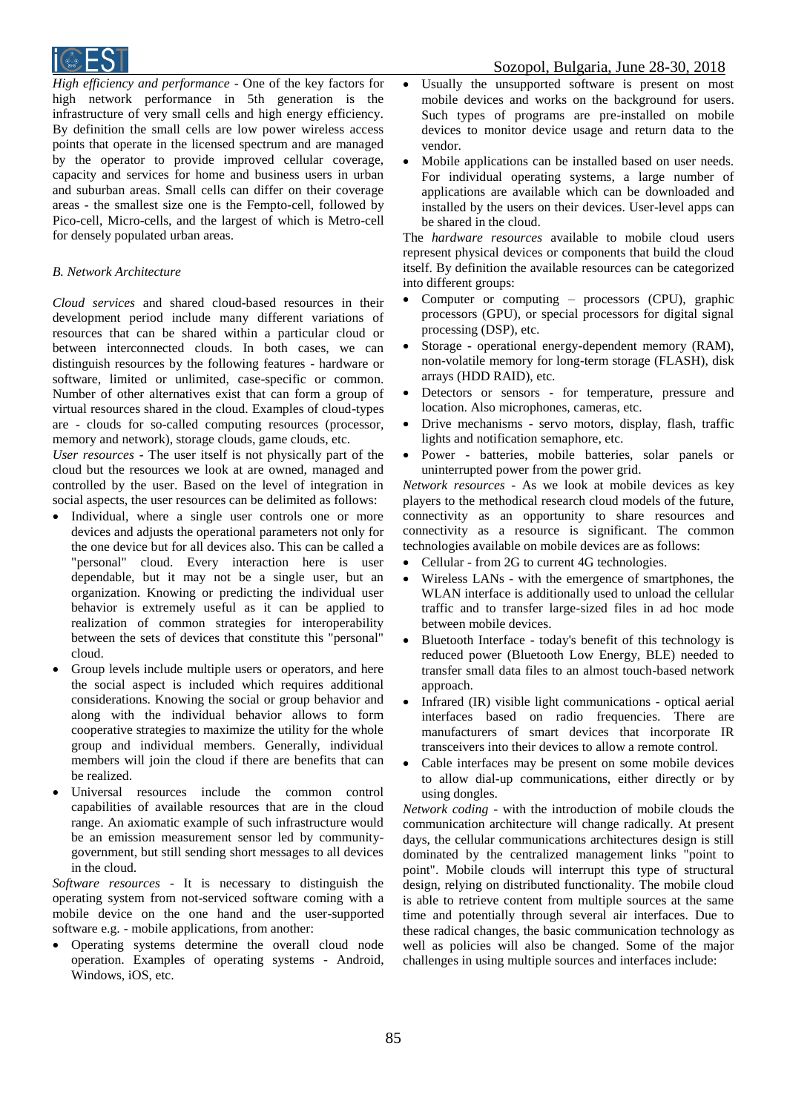

*High efficiency and performance* - One of the key factors for high network performance in 5th generation is the infrastructure of very small cells and high energy efficiency. By definition the small cells are low power wireless access points that operate in the licensed spectrum and are managed by the operator to provide improved cellular coverage, capacity and services for home and business users in urban and suburban areas. Small cells can differ on their coverage areas - the smallest size one is the Fempto-cell, followed by Pico-cell, Micro-cells, and the largest of which is Metro-cell for densely populated urban areas.

## *B. Network Architecture*

*Cloud services* and shared cloud-based resources in their development period include many different variations of resources that can be shared within a particular cloud or between interconnected clouds. In both cases, we can distinguish resources by the following features - hardware or software, limited or unlimited, case-specific or common. Number of other alternatives exist that can form a group of virtual resources shared in the cloud. Examples of cloud-types are - clouds for so-called computing resources (processor, memory and network), storage clouds, game clouds, etc.

*User resources* - The user itself is not physically part of the cloud but the resources we look at are owned, managed and controlled by the user. Based on the level of integration in social aspects, the user resources can be delimited as follows:

- Individual, where a single user controls one or more devices and adjusts the operational parameters not only for the one device but for all devices also. This can be called a "personal" cloud. Every interaction here is user dependable, but it may not be a single user, but an organization. Knowing or predicting the individual user behavior is extremely useful as it can be applied to realization of common strategies for interoperability between the sets of devices that constitute this "personal" cloud.
- Group levels include multiple users or operators, and here the social aspect is included which requires additional considerations. Knowing the social or group behavior and along with the individual behavior allows to form cooperative strategies to maximize the utility for the whole group and individual members. Generally, individual members will join the cloud if there are benefits that can be realized.
- Universal resources include the common control capabilities of available resources that are in the cloud range. An axiomatic example of such infrastructure would be an emission measurement sensor led by communitygovernment, but still sending short messages to all devices in the cloud.

*Software resources* - It is necessary to distinguish the operating system from not-serviced software coming with a mobile device on the one hand and the user-supported software e.g. - mobile applications, from another:

 Operating systems determine the overall cloud node operation. Examples of operating systems - Android, Windows, iOS, etc.

# Sozopol, Bulgaria, June 28-30, 2018

- Usually the unsupported software is present on most mobile devices and works on the background for users. Such types of programs are pre-installed on mobile devices to monitor device usage and return data to the vendor.
- Mobile applications can be installed based on user needs. For individual operating systems, a large number of applications are available which can be downloaded and installed by the users on their devices. User-level apps can be shared in the cloud.

The *hardware resources* available to mobile cloud users represent physical devices or components that build the cloud itself. By definition the available resources can be categorized into different groups:

- Computer or computing processors (CPU), graphic processors (GPU), or special processors for digital signal processing (DSP), etc.
- Storage operational energy-dependent memory (RAM), non-volatile memory for long-term storage (FLASH), disk arrays (HDD RAID), etc.
- Detectors or sensors for temperature, pressure and location. Also microphones, cameras, etc.
- Drive mechanisms servo motors, display, flash, traffic lights and notification semaphore, etc.
- Power batteries, mobile batteries, solar panels or uninterrupted power from the power grid.

*Network resources* - As we look at mobile devices as key players to the methodical research cloud models of the future, connectivity as an opportunity to share resources and connectivity as a resource is significant. The common technologies available on mobile devices are as follows:

- Cellular from 2G to current 4G technologies.
- Wireless LANs with the emergence of smartphones, the WLAN interface is additionally used to unload the cellular traffic and to transfer large-sized files in ad hoc mode between mobile devices.
- Bluetooth Interface today's benefit of this technology is reduced power (Bluetooth Low Energy, BLE) needed to transfer small data files to an almost touch-based network approach.
- Infrared (IR) visible light communications optical aerial interfaces based on radio frequencies. There are manufacturers of smart devices that incorporate IR transceivers into their devices to allow a remote control.
- Cable interfaces may be present on some mobile devices to allow dial-up communications, either directly or by using dongles.

*Network coding* - with the introduction of mobile clouds the communication architecture will change radically. At present days, the cellular communications architectures design is still dominated by the centralized management links "point to point". Mobile clouds will interrupt this type of structural design, relying on distributed functionality. The mobile cloud is able to retrieve content from multiple sources at the same time and potentially through several air interfaces. Due to these radical changes, the basic communication technology as well as policies will also be changed. Some of the major challenges in using multiple sources and interfaces include: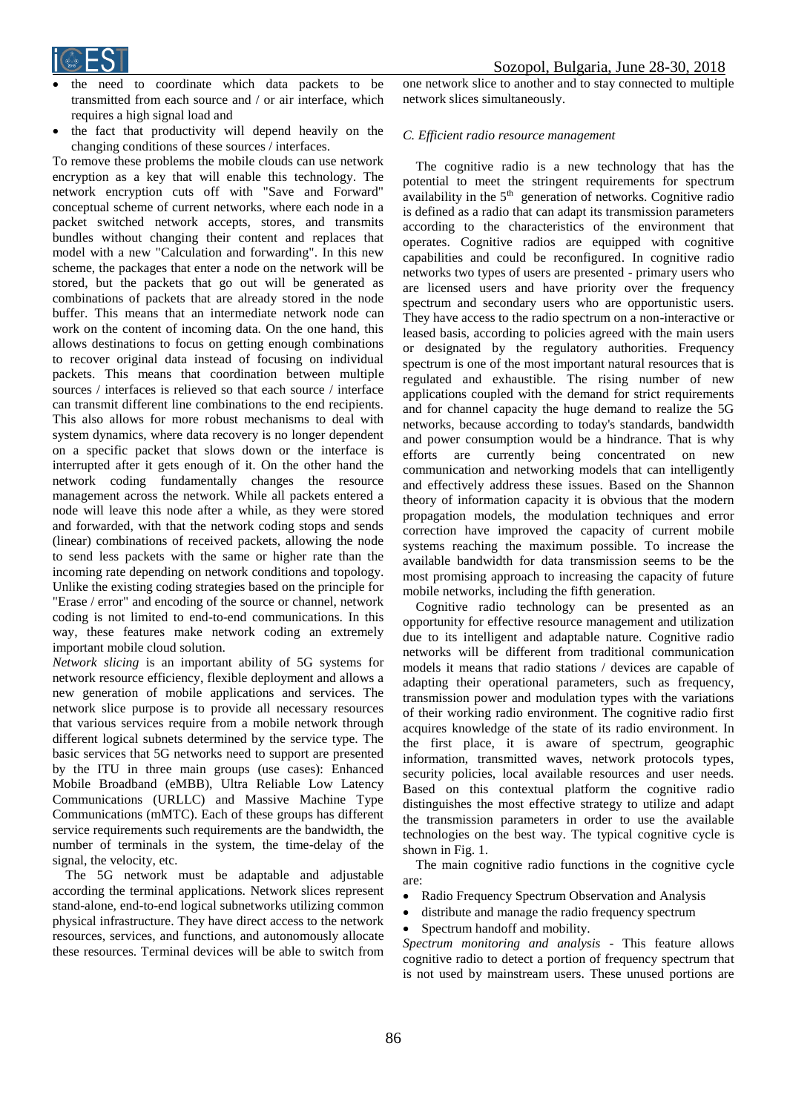

- the need to coordinate which data packets to be transmitted from each source and / or air interface, which requires a high signal load and
- the fact that productivity will depend heavily on the changing conditions of these sources / interfaces.

To remove these problems the mobile clouds can use network encryption as a key that will enable this technology. The network encryption cuts off with "Save and Forward" conceptual scheme of current networks, where each node in a packet switched network accepts, stores, and transmits bundles without changing their content and replaces that model with a new "Calculation and forwarding". In this new scheme, the packages that enter a node on the network will be stored, but the packets that go out will be generated as combinations of packets that are already stored in the node buffer. This means that an intermediate network node can work on the content of incoming data. On the one hand, this allows destinations to focus on getting enough combinations to recover original data instead of focusing on individual packets. This means that coordination between multiple sources / interfaces is relieved so that each source / interface can transmit different line combinations to the end recipients. This also allows for more robust mechanisms to deal with system dynamics, where data recovery is no longer dependent on a specific packet that slows down or the interface is interrupted after it gets enough of it. On the other hand the network coding fundamentally changes the resource management across the network. While all packets entered a node will leave this node after a while, as they were stored and forwarded, with that the network coding stops and sends (linear) combinations of received packets, allowing the node to send less packets with the same or higher rate than the incoming rate depending on network conditions and topology. Unlike the existing coding strategies based on the principle for "Erase / error" and encoding of the source or channel, network coding is not limited to end-to-end communications. In this way, these features make network coding an extremely important mobile cloud solution.

*Network slicing* is an important ability of 5G systems for network resource efficiency, flexible deployment and allows a new generation of mobile applications and services. The network slice purpose is to provide all necessary resources that various services require from a mobile network through different logical subnets determined by the service type. The basic services that 5G networks need to support are presented by the ITU in three main groups (use cases): Enhanced Mobile Broadband (eMBB), Ultra Reliable Low Latency Communications (URLLC) and Massive Machine Type Communications (mMTC). Each of these groups has different service requirements such requirements are the bandwidth, the number of terminals in the system, the time-delay of the signal, the velocity, etc.

The 5G network must be adaptable and adjustable according the terminal applications. Network slices represent stand-alone, end-to-end logical subnetworks utilizing common physical infrastructure. They have direct access to the network resources, services, and functions, and autonomously allocate these resources. Terminal devices will be able to switch from

one network slice to another and to stay connected to multiple network slices simultaneously.

### *C. Efficient radio resource management*

The cognitive radio is a new technology that has the potential to meet the stringent requirements for spectrum availability in the  $5<sup>th</sup>$  generation of networks. Cognitive radio is defined as a radio that can adapt its transmission parameters according to the characteristics of the environment that operates. Cognitive radios are equipped with cognitive capabilities and could be reconfigured. In cognitive radio networks two types of users are presented - primary users who are licensed users and have priority over the frequency spectrum and secondary users who are opportunistic users. They have access to the radio spectrum on a non-interactive or leased basis, according to policies agreed with the main users or designated by the regulatory authorities. Frequency spectrum is one of the most important natural resources that is regulated and exhaustible. The rising number of new applications coupled with the demand for strict requirements and for channel capacity the huge demand to realize the 5G networks, because according to today's standards, bandwidth and power consumption would be a hindrance. That is why efforts are currently being concentrated on new communication and networking models that can intelligently and effectively address these issues. Based on the Shannon theory of information capacity it is obvious that the modern propagation models, the modulation techniques and error correction have improved the capacity of current mobile systems reaching the maximum possible. To increase the available bandwidth for data transmission seems to be the most promising approach to increasing the capacity of future mobile networks, including the fifth generation.

Cognitive radio technology can be presented as an opportunity for effective resource management and utilization due to its intelligent and adaptable nature. Cognitive radio networks will be different from traditional communication models it means that radio stations / devices are capable of adapting their operational parameters, such as frequency, transmission power and modulation types with the variations of their working radio environment. The cognitive radio first acquires knowledge of the state of its radio environment. In the first place, it is aware of spectrum, geographic information, transmitted waves, network protocols types, security policies, local available resources and user needs. Based on this contextual platform the cognitive radio distinguishes the most effective strategy to utilize and adapt the transmission parameters in order to use the available technologies on the best way. The typical cognitive cycle is shown in Fig. 1.

The main cognitive radio functions in the cognitive cycle are:

- Radio Frequency Spectrum Observation and Analysis
- distribute and manage the radio frequency spectrum
- Spectrum handoff and mobility.

*Spectrum monitoring and analysis -* This feature allows cognitive radio to detect a portion of frequency spectrum that is not used by mainstream users. These unused portions are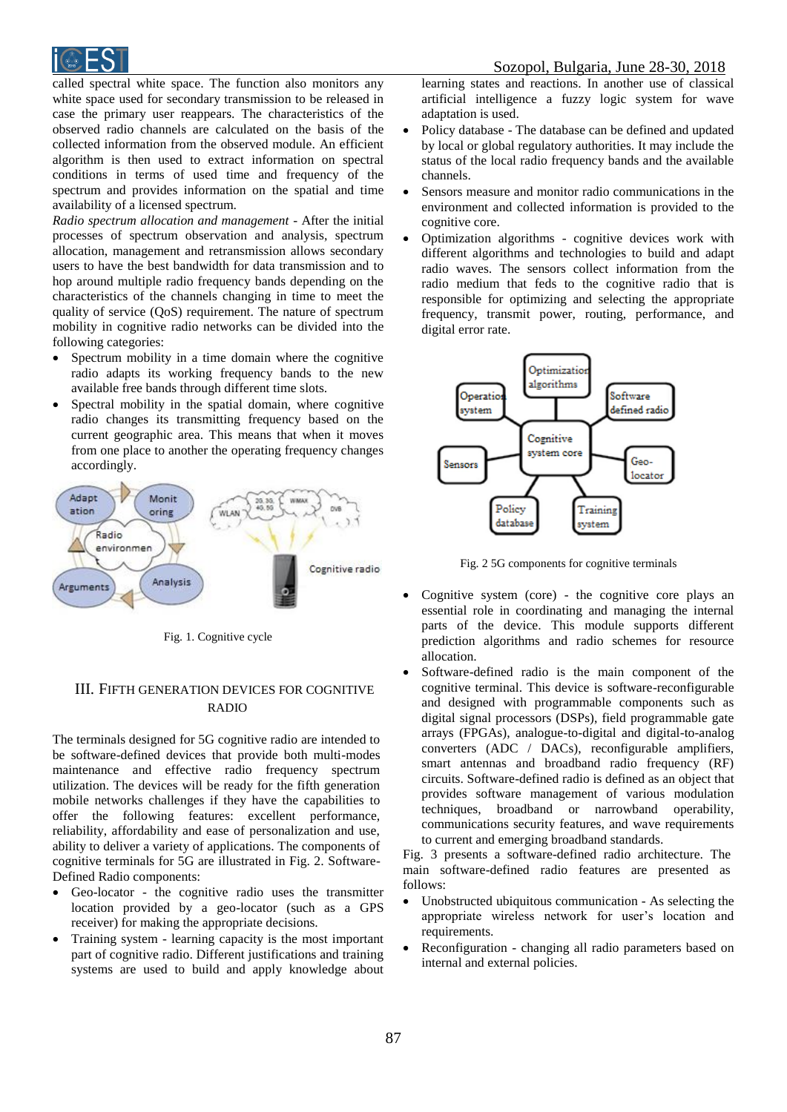

called spectral white space. The function also monitors any white space used for secondary transmission to be released in case the primary user reappears. The characteristics of the observed radio channels are calculated on the basis of the collected information from the observed module. An efficient algorithm is then used to extract information on spectral conditions in terms of used time and frequency of the spectrum and provides information on the spatial and time availability of a licensed spectrum.

*Radio spectrum allocation and management -* After the initial processes of spectrum observation and analysis, spectrum allocation, management and retransmission allows secondary users to have the best bandwidth for data transmission and to hop around multiple radio frequency bands depending on the characteristics of the channels changing in time to meet the quality of service (QoS) requirement. The nature of spectrum mobility in cognitive radio networks can be divided into the following categories:

- Spectrum mobility in a time domain where the cognitive radio adapts its working frequency bands to the new available free bands through different time slots.
- Spectral mobility in the spatial domain, where cognitive radio changes its transmitting frequency based on the current geographic area. This means that when it moves from one place to another the operating frequency changes accordingly.



Fig. 1. Cognitive cycle

# III. FIFTH GENERATION DEVICES FOR COGNITIVE RADIO

The terminals designed for 5G cognitive radio are intended to be software-defined devices that provide both multi-modes maintenance and effective radio frequency spectrum utilization. The devices will be ready for the fifth generation mobile networks challenges if they have the capabilities to offer the following features: excellent performance, reliability, affordability and ease of personalization and use, ability to deliver a variety of applications. The components of cognitive terminals for 5G are illustrated in Fig. 2. Software-Defined Radio components:

- Geo-locator the cognitive radio uses the transmitter location provided by a geo-locator (such as a GPS receiver) for making the appropriate decisions.
- Training system learning capacity is the most important part of cognitive radio. Different justifications and training systems are used to build and apply knowledge about

learning states and reactions. In another use of classical artificial intelligence a fuzzy logic system for wave adaptation is used.

- Policy database The database can be defined and updated by local or global regulatory authorities. It may include the status of the local radio frequency bands and the available channels.
- Sensors measure and monitor radio communications in the environment and collected information is provided to the cognitive core.
- Optimization algorithms cognitive devices work with different algorithms and technologies to build and adapt radio waves. The sensors collect information from the radio medium that feds to the cognitive radio that is responsible for optimizing and selecting the appropriate frequency, transmit power, routing, performance, and digital error rate.



Fig. 2 5G components for cognitive terminals

- Cognitive system (core) the cognitive core plays an essential role in coordinating and managing the internal parts of the device. This module supports different prediction algorithms and radio schemes for resource allocation.
- Software-defined radio is the main component of the cognitive terminal. This device is software-reconfigurable and designed with programmable components such as digital signal processors (DSPs), field programmable gate arrays (FPGAs), analogue-to-digital and digital-to-analog converters (ADC / DACs), reconfigurable amplifiers, smart antennas and broadband radio frequency (RF) circuits. Software-defined radio is defined as an object that provides software management of various modulation techniques, broadband or narrowband operability, communications security features, and wave requirements to current and emerging broadband standards.

Fig. 3 presents a software-defined radio architecture. The main software-defined radio features are presented as follows:

- Unobstructed ubiquitous communication As selecting the appropriate wireless network for user's location and requirements.
- Reconfiguration changing all radio parameters based on internal and external policies.